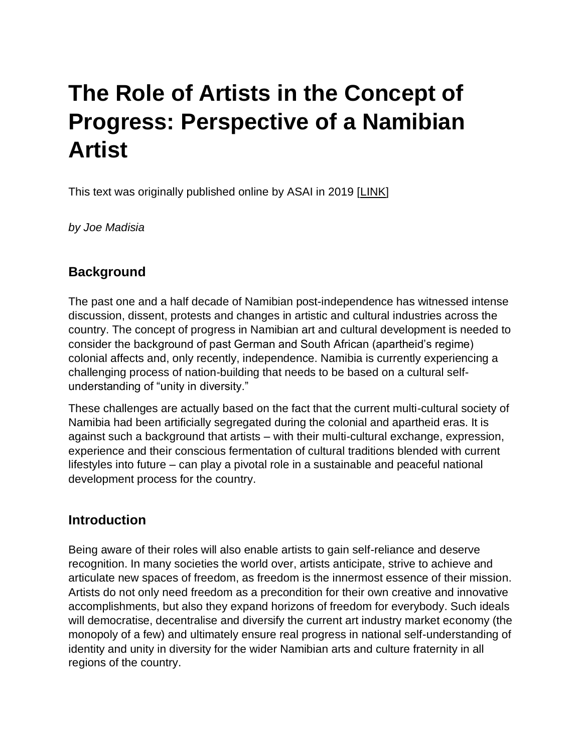# **The Role of Artists in the Concept of Progress: Perspective of a Namibian Artist**

This text was originally published online by ASAI in 2019 [\[LINK\]](https://asai.co.za/the-role-of-artists/)

*by Joe Madisia*

## **Background**

The past one and a half decade of Namibian post-independence has witnessed intense discussion, dissent, protests and changes in artistic and cultural industries across the country. The concept of progress in Namibian art and cultural development is needed to consider the background of past German and South African (apartheid's regime) colonial affects and, only recently, independence. Namibia is currently experiencing a challenging process of nation-building that needs to be based on a cultural selfunderstanding of "unity in diversity."

These challenges are actually based on the fact that the current multi-cultural society of Namibia had been artificially segregated during the colonial and apartheid eras. It is against such a background that artists – with their multi-cultural exchange, expression, experience and their conscious fermentation of cultural traditions blended with current lifestyles into future – can play a pivotal role in a sustainable and peaceful national development process for the country.

# **Introduction**

Being aware of their roles will also enable artists to gain self-reliance and deserve recognition. In many societies the world over, artists anticipate, strive to achieve and articulate new spaces of freedom, as freedom is the innermost essence of their mission. Artists do not only need freedom as a precondition for their own creative and innovative accomplishments, but also they expand horizons of freedom for everybody. Such ideals will democratise, decentralise and diversify the current art industry market economy (the monopoly of a few) and ultimately ensure real progress in national self-understanding of identity and unity in diversity for the wider Namibian arts and culture fraternity in all regions of the country.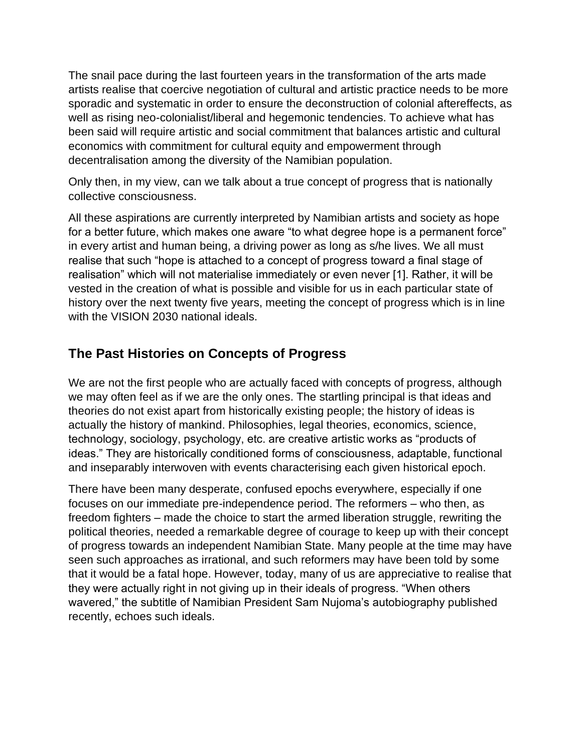The snail pace during the last fourteen years in the transformation of the arts made artists realise that coercive negotiation of cultural and artistic practice needs to be more sporadic and systematic in order to ensure the deconstruction of colonial aftereffects, as well as rising neo-colonialist/liberal and hegemonic tendencies. To achieve what has been said will require artistic and social commitment that balances artistic and cultural economics with commitment for cultural equity and empowerment through decentralisation among the diversity of the Namibian population.

Only then, in my view, can we talk about a true concept of progress that is nationally collective consciousness.

All these aspirations are currently interpreted by Namibian artists and society as hope for a better future, which makes one aware "to what degree hope is a permanent force" in every artist and human being, a driving power as long as s/he lives. We all must realise that such "hope is attached to a concept of progress toward a final stage of realisation" which will not materialise immediately or even never [1]. Rather, it will be vested in the creation of what is possible and visible for us in each particular state of history over the next twenty five years, meeting the concept of progress which is in line with the VISION 2030 national ideals.

# **The Past Histories on Concepts of Progress**

We are not the first people who are actually faced with concepts of progress, although we may often feel as if we are the only ones. The startling principal is that ideas and theories do not exist apart from historically existing people; the history of ideas is actually the history of mankind. Philosophies, legal theories, economics, science, technology, sociology, psychology, etc. are creative artistic works as "products of ideas." They are historically conditioned forms of consciousness, adaptable, functional and inseparably interwoven with events characterising each given historical epoch.

There have been many desperate, confused epochs everywhere, especially if one focuses on our immediate pre-independence period. The reformers – who then, as freedom fighters – made the choice to start the armed liberation struggle, rewriting the political theories, needed a remarkable degree of courage to keep up with their concept of progress towards an independent Namibian State. Many people at the time may have seen such approaches as irrational, and such reformers may have been told by some that it would be a fatal hope. However, today, many of us are appreciative to realise that they were actually right in not giving up in their ideals of progress. "When others wavered," the subtitle of Namibian President Sam Nujoma's autobiography published recently, echoes such ideals.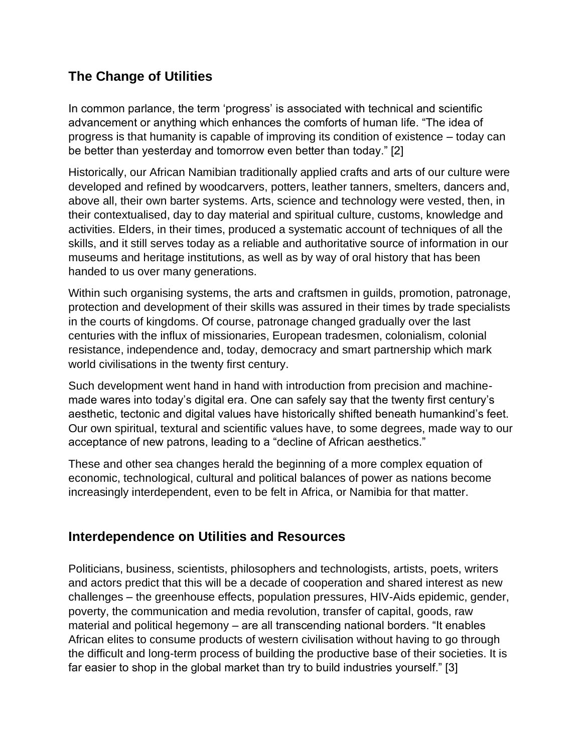# **The Change of Utilities**

In common parlance, the term 'progress' is associated with technical and scientific advancement or anything which enhances the comforts of human life. "The idea of progress is that humanity is capable of improving its condition of existence – today can be better than yesterday and tomorrow even better than today." [2]

Historically, our African Namibian traditionally applied crafts and arts of our culture were developed and refined by woodcarvers, potters, leather tanners, smelters, dancers and, above all, their own barter systems. Arts, science and technology were vested, then, in their contextualised, day to day material and spiritual culture, customs, knowledge and activities. Elders, in their times, produced a systematic account of techniques of all the skills, and it still serves today as a reliable and authoritative source of information in our museums and heritage institutions, as well as by way of oral history that has been handed to us over many generations.

Within such organising systems, the arts and craftsmen in guilds, promotion, patronage, protection and development of their skills was assured in their times by trade specialists in the courts of kingdoms. Of course, patronage changed gradually over the last centuries with the influx of missionaries, European tradesmen, colonialism, colonial resistance, independence and, today, democracy and smart partnership which mark world civilisations in the twenty first century.

Such development went hand in hand with introduction from precision and machinemade wares into today's digital era. One can safely say that the twenty first century's aesthetic, tectonic and digital values have historically shifted beneath humankind's feet. Our own spiritual, textural and scientific values have, to some degrees, made way to our acceptance of new patrons, leading to a "decline of African aesthetics."

These and other sea changes herald the beginning of a more complex equation of economic, technological, cultural and political balances of power as nations become increasingly interdependent, even to be felt in Africa, or Namibia for that matter.

## **Interdependence on Utilities and Resources**

Politicians, business, scientists, philosophers and technologists, artists, poets, writers and actors predict that this will be a decade of cooperation and shared interest as new challenges – the greenhouse effects, population pressures, HIV-Aids epidemic, gender, poverty, the communication and media revolution, transfer of capital, goods, raw material and political hegemony – are all transcending national borders. "It enables African elites to consume products of western civilisation without having to go through the difficult and long-term process of building the productive base of their societies. It is far easier to shop in the global market than try to build industries yourself." [3]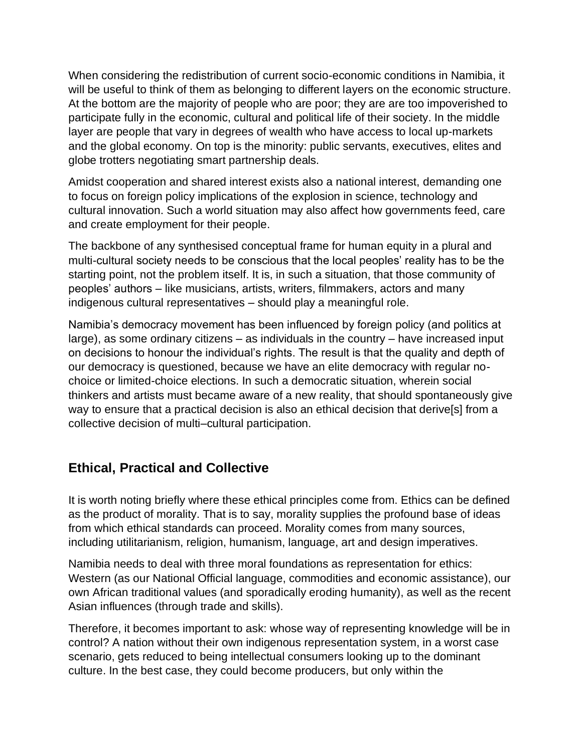When considering the redistribution of current socio-economic conditions in Namibia, it will be useful to think of them as belonging to different layers on the economic structure. At the bottom are the majority of people who are poor; they are are too impoverished to participate fully in the economic, cultural and political life of their society. In the middle layer are people that vary in degrees of wealth who have access to local up-markets and the global economy. On top is the minority: public servants, executives, elites and globe trotters negotiating smart partnership deals.

Amidst cooperation and shared interest exists also a national interest, demanding one to focus on foreign policy implications of the explosion in science, technology and cultural innovation. Such a world situation may also affect how governments feed, care and create employment for their people.

The backbone of any synthesised conceptual frame for human equity in a plural and multi-cultural society needs to be conscious that the local peoples' reality has to be the starting point, not the problem itself. It is, in such a situation, that those community of peoples' authors – like musicians, artists, writers, filmmakers, actors and many indigenous cultural representatives – should play a meaningful role.

Namibia's democracy movement has been influenced by foreign policy (and politics at large), as some ordinary citizens – as individuals in the country – have increased input on decisions to honour the individual's rights. The result is that the quality and depth of our democracy is questioned, because we have an elite democracy with regular nochoice or limited-choice elections. In such a democratic situation, wherein social thinkers and artists must became aware of a new reality, that should spontaneously give way to ensure that a practical decision is also an ethical decision that derive[s] from a collective decision of multi–cultural participation.

## **Ethical, Practical and Collective**

It is worth noting briefly where these ethical principles come from. Ethics can be defined as the product of morality. That is to say, morality supplies the profound base of ideas from which ethical standards can proceed. Morality comes from many sources, including utilitarianism, religion, humanism, language, art and design imperatives.

Namibia needs to deal with three moral foundations as representation for ethics: Western (as our National Official language, commodities and economic assistance), our own African traditional values (and sporadically eroding humanity), as well as the recent Asian influences (through trade and skills).

Therefore, it becomes important to ask: whose way of representing knowledge will be in control? A nation without their own indigenous representation system, in a worst case scenario, gets reduced to being intellectual consumers looking up to the dominant culture. In the best case, they could become producers, but only within the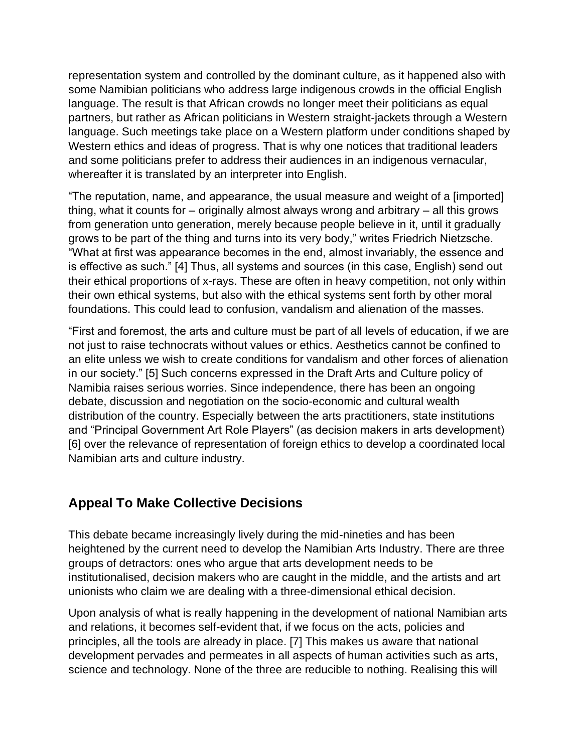representation system and controlled by the dominant culture, as it happened also with some Namibian politicians who address large indigenous crowds in the official English language. The result is that African crowds no longer meet their politicians as equal partners, but rather as African politicians in Western straight-jackets through a Western language. Such meetings take place on a Western platform under conditions shaped by Western ethics and ideas of progress. That is why one notices that traditional leaders and some politicians prefer to address their audiences in an indigenous vernacular, whereafter it is translated by an interpreter into English.

"The reputation, name, and appearance, the usual measure and weight of a [imported] thing, what it counts for – originally almost always wrong and arbitrary – all this grows from generation unto generation, merely because people believe in it, until it gradually grows to be part of the thing and turns into its very body," writes Friedrich Nietzsche. "What at first was appearance becomes in the end, almost invariably, the essence and is effective as such." [4] Thus, all systems and sources (in this case, English) send out their ethical proportions of x-rays. These are often in heavy competition, not only within their own ethical systems, but also with the ethical systems sent forth by other moral foundations. This could lead to confusion, vandalism and alienation of the masses.

"First and foremost, the arts and culture must be part of all levels of education, if we are not just to raise technocrats without values or ethics. Aesthetics cannot be confined to an elite unless we wish to create conditions for vandalism and other forces of alienation in our society." [5] Such concerns expressed in the Draft Arts and Culture policy of Namibia raises serious worries. Since independence, there has been an ongoing debate, discussion and negotiation on the socio-economic and cultural wealth distribution of the country. Especially between the arts practitioners, state institutions and "Principal Government Art Role Players" (as decision makers in arts development) [6] over the relevance of representation of foreign ethics to develop a coordinated local Namibian arts and culture industry.

## **Appeal To Make Collective Decisions**

This debate became increasingly lively during the mid-nineties and has been heightened by the current need to develop the Namibian Arts Industry. There are three groups of detractors: ones who argue that arts development needs to be institutionalised, decision makers who are caught in the middle, and the artists and art unionists who claim we are dealing with a three-dimensional ethical decision.

Upon analysis of what is really happening in the development of national Namibian arts and relations, it becomes self-evident that, if we focus on the acts, policies and principles, all the tools are already in place. [7] This makes us aware that national development pervades and permeates in all aspects of human activities such as arts, science and technology. None of the three are reducible to nothing. Realising this will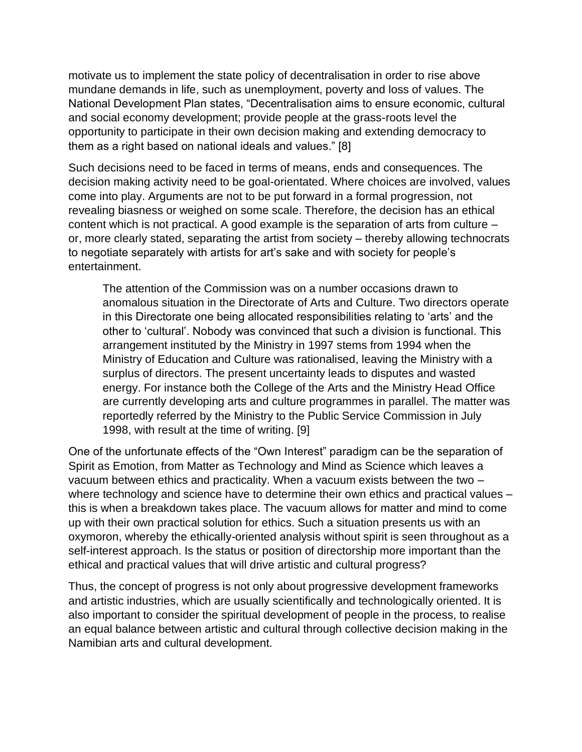motivate us to implement the state policy of decentralisation in order to rise above mundane demands in life, such as unemployment, poverty and loss of values. The National Development Plan states, "Decentralisation aims to ensure economic, cultural and social economy development; provide people at the grass-roots level the opportunity to participate in their own decision making and extending democracy to them as a right based on national ideals and values." [8]

Such decisions need to be faced in terms of means, ends and consequences. The decision making activity need to be goal-orientated. Where choices are involved, values come into play. Arguments are not to be put forward in a formal progression, not revealing biasness or weighed on some scale. Therefore, the decision has an ethical content which is not practical. A good example is the separation of arts from culture – or, more clearly stated, separating the artist from society – thereby allowing technocrats to negotiate separately with artists for art's sake and with society for people's entertainment.

The attention of the Commission was on a number occasions drawn to anomalous situation in the Directorate of Arts and Culture. Two directors operate in this Directorate one being allocated responsibilities relating to 'arts' and the other to 'cultural'. Nobody was convinced that such a division is functional. This arrangement instituted by the Ministry in 1997 stems from 1994 when the Ministry of Education and Culture was rationalised, leaving the Ministry with a surplus of directors. The present uncertainty leads to disputes and wasted energy. For instance both the College of the Arts and the Ministry Head Office are currently developing arts and culture programmes in parallel. The matter was reportedly referred by the Ministry to the Public Service Commission in July 1998, with result at the time of writing. [9]

One of the unfortunate effects of the "Own Interest" paradigm can be the separation of Spirit as Emotion, from Matter as Technology and Mind as Science which leaves a vacuum between ethics and practicality. When a vacuum exists between the two – where technology and science have to determine their own ethics and practical values – this is when a breakdown takes place. The vacuum allows for matter and mind to come up with their own practical solution for ethics. Such a situation presents us with an oxymoron, whereby the ethically-oriented analysis without spirit is seen throughout as a self-interest approach. Is the status or position of directorship more important than the ethical and practical values that will drive artistic and cultural progress?

Thus, the concept of progress is not only about progressive development frameworks and artistic industries, which are usually scientifically and technologically oriented. It is also important to consider the spiritual development of people in the process, to realise an equal balance between artistic and cultural through collective decision making in the Namibian arts and cultural development.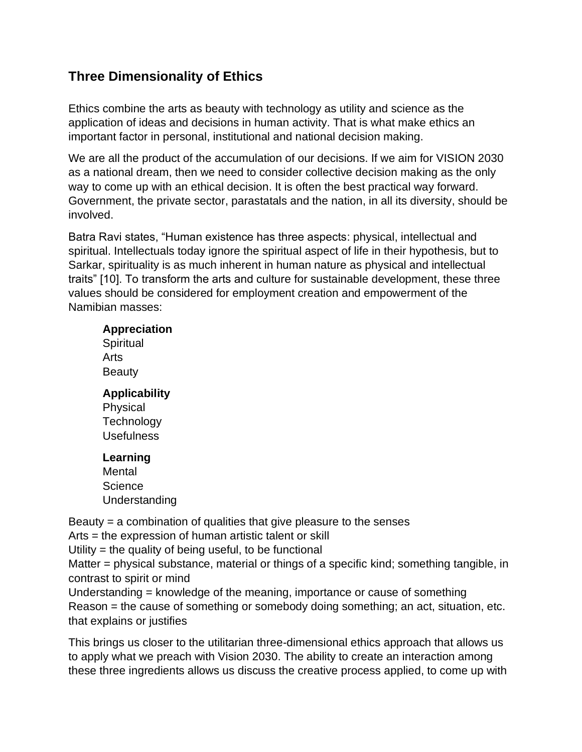# **Three Dimensionality of Ethics**

Ethics combine the arts as beauty with technology as utility and science as the application of ideas and decisions in human activity. That is what make ethics an important factor in personal, institutional and national decision making.

We are all the product of the accumulation of our decisions. If we aim for VISION 2030 as a national dream, then we need to consider collective decision making as the only way to come up with an ethical decision. It is often the best practical way forward. Government, the private sector, parastatals and the nation, in all its diversity, should be involved.

Batra Ravi states, "Human existence has three aspects: physical, intellectual and spiritual. Intellectuals today ignore the spiritual aspect of life in their hypothesis, but to Sarkar, spirituality is as much inherent in human nature as physical and intellectual traits" [10]. To transform the arts and culture for sustainable development, these three values should be considered for employment creation and empowerment of the Namibian masses:

#### **Appreciation**

**Spiritual** Arts Beauty

#### **Applicability**

**Physical Technology** Usefulness

#### **Learning**

Mental **Science** Understanding

Beauty = a combination of qualities that give pleasure to the senses

Arts = the expression of human artistic talent or skill

Utility = the quality of being useful, to be functional

Matter = physical substance, material or things of a specific kind; something tangible, in contrast to spirit or mind

Understanding = knowledge of the meaning, importance or cause of something Reason = the cause of something or somebody doing something; an act, situation, etc. that explains or justifies

This brings us closer to the utilitarian three-dimensional ethics approach that allows us to apply what we preach with Vision 2030. The ability to create an interaction among these three ingredients allows us discuss the creative process applied, to come up with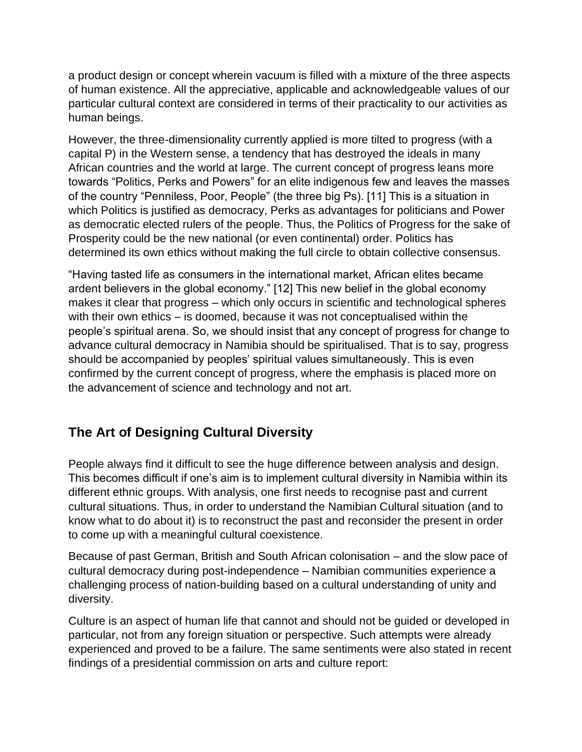a product design or concept wherein vacuum is filled with a mixture of the three aspects of human existence. All the appreciative, applicable and acknowledgeable values of our particular cultural context are considered in terms of their practicality to our activities as human beings.

However, the three-dimensionality currently applied is more tilted to progress (with a capital P) in the Western sense, a tendency that has destroyed the ideals in many African countries and the world at large. The current concept of progress leans more towards "Politics, Perks and Powers" for an elite indigenous few and leaves the masses of the country "Penniless, Poor, People" (the three big Ps). [11] This is a situation in which Politics is justified as democracy, Perks as advantages for politicians and Power as democratic elected rulers of the people. Thus, the Politics of Progress for the sake of Prosperity could be the new national (or even continental) order. Politics has determined its own ethics without making the full circle to obtain collective consensus.

"Having tasted life as consumers in the international market, African elites became ardent believers in the global economy." [12] This new belief in the global economy makes it clear that progress – which only occurs in scientific and technological spheres with their own ethics – is doomed, because it was not conceptualised within the people's spiritual arena. So, we should insist that any concept of progress for change to advance cultural democracy in Namibia should be spiritualised. That is to say, progress should be accompanied by peoples' spiritual values simultaneously. This is even confirmed by the current concept of progress, where the emphasis is placed more on the advancement of science and technology and not art.

# **The Art of Designing Cultural Diversity**

People always find it difficult to see the huge difference between analysis and design. This becomes difficult if one's aim is to implement cultural diversity in Namibia within its different ethnic groups. With analysis, one first needs to recognise past and current cultural situations. Thus, in order to understand the Namibian Cultural situation (and to know what to do about it) is to reconstruct the past and reconsider the present in order to come up with a meaningful cultural coexistence.

Because of past German, British and South African colonisation – and the slow pace of cultural democracy during post-independence – Namibian communities experience a challenging process of nation-building based on a cultural understanding of unity and diversity.

Culture is an aspect of human life that cannot and should not be guided or developed in particular, not from any foreign situation or perspective. Such attempts were already experienced and proved to be a failure. The same sentiments were also stated in recent findings of a presidential commission on arts and culture report: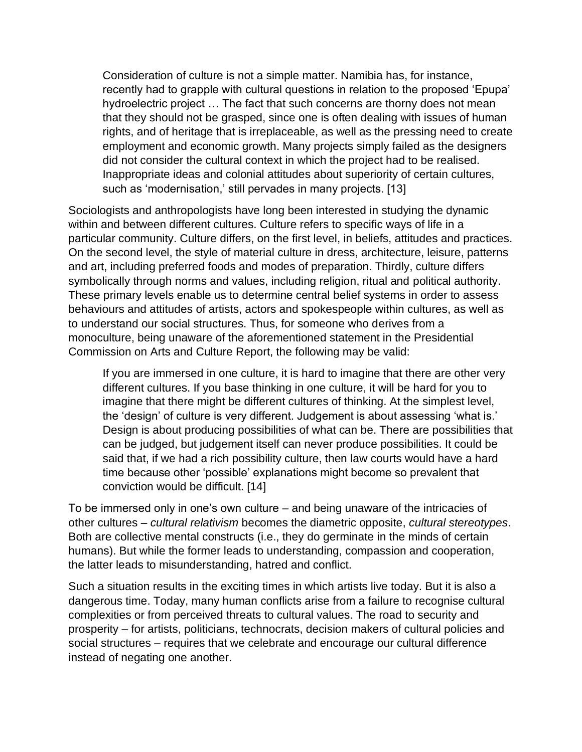Consideration of culture is not a simple matter. Namibia has, for instance, recently had to grapple with cultural questions in relation to the proposed 'Epupa' hydroelectric project … The fact that such concerns are thorny does not mean that they should not be grasped, since one is often dealing with issues of human rights, and of heritage that is irreplaceable, as well as the pressing need to create employment and economic growth. Many projects simply failed as the designers did not consider the cultural context in which the project had to be realised. Inappropriate ideas and colonial attitudes about superiority of certain cultures, such as 'modernisation,' still pervades in many projects. [13]

Sociologists and anthropologists have long been interested in studying the dynamic within and between different cultures. Culture refers to specific ways of life in a particular community. Culture differs, on the first level, in beliefs, attitudes and practices. On the second level, the style of material culture in dress, architecture, leisure, patterns and art, including preferred foods and modes of preparation. Thirdly, culture differs symbolically through norms and values, including religion, ritual and political authority. These primary levels enable us to determine central belief systems in order to assess behaviours and attitudes of artists, actors and spokespeople within cultures, as well as to understand our social structures. Thus, for someone who derives from a monoculture, being unaware of the aforementioned statement in the Presidential Commission on Arts and Culture Report, the following may be valid:

If you are immersed in one culture, it is hard to imagine that there are other very different cultures. If you base thinking in one culture, it will be hard for you to imagine that there might be different cultures of thinking. At the simplest level, the 'design' of culture is very different. Judgement is about assessing 'what is.' Design is about producing possibilities of what can be. There are possibilities that can be judged, but judgement itself can never produce possibilities. It could be said that, if we had a rich possibility culture, then law courts would have a hard time because other 'possible' explanations might become so prevalent that conviction would be difficult. [14]

To be immersed only in one's own culture – and being unaware of the intricacies of other cultures – *cultural relativism* becomes the diametric opposite, *cultural stereotypes*. Both are collective mental constructs (i.e., they do germinate in the minds of certain humans). But while the former leads to understanding, compassion and cooperation, the latter leads to misunderstanding, hatred and conflict.

Such a situation results in the exciting times in which artists live today. But it is also a dangerous time. Today, many human conflicts arise from a failure to recognise cultural complexities or from perceived threats to cultural values. The road to security and prosperity – for artists, politicians, technocrats, decision makers of cultural policies and social structures – requires that we celebrate and encourage our cultural difference instead of negating one another.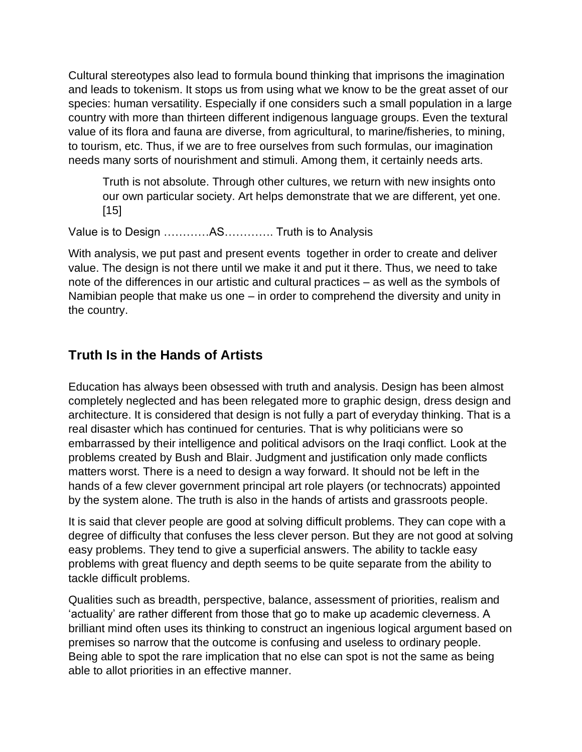Cultural stereotypes also lead to formula bound thinking that imprisons the imagination and leads to tokenism. It stops us from using what we know to be the great asset of our species: human versatility. Especially if one considers such a small population in a large country with more than thirteen different indigenous language groups. Even the textural value of its flora and fauna are diverse, from agricultural, to marine/fisheries, to mining, to tourism, etc. Thus, if we are to free ourselves from such formulas, our imagination needs many sorts of nourishment and stimuli. Among them, it certainly needs arts.

Truth is not absolute. Through other cultures, we return with new insights onto our own particular society. Art helps demonstrate that we are different, yet one. [15]

Value is to Design …………AS…………. Truth is to Analysis

With analysis, we put past and present events together in order to create and deliver value. The design is not there until we make it and put it there. Thus, we need to take note of the differences in our artistic and cultural practices – as well as the symbols of Namibian people that make us one – in order to comprehend the diversity and unity in the country.

## **Truth Is in the Hands of Artists**

Education has always been obsessed with truth and analysis. Design has been almost completely neglected and has been relegated more to graphic design, dress design and architecture. It is considered that design is not fully a part of everyday thinking. That is a real disaster which has continued for centuries. That is why politicians were so embarrassed by their intelligence and political advisors on the Iraqi conflict. Look at the problems created by Bush and Blair. Judgment and justification only made conflicts matters worst. There is a need to design a way forward. It should not be left in the hands of a few clever government principal art role players (or technocrats) appointed by the system alone. The truth is also in the hands of artists and grassroots people.

It is said that clever people are good at solving difficult problems. They can cope with a degree of difficulty that confuses the less clever person. But they are not good at solving easy problems. They tend to give a superficial answers. The ability to tackle easy problems with great fluency and depth seems to be quite separate from the ability to tackle difficult problems.

Qualities such as breadth, perspective, balance, assessment of priorities, realism and 'actuality' are rather different from those that go to make up academic cleverness. A brilliant mind often uses its thinking to construct an ingenious logical argument based on premises so narrow that the outcome is confusing and useless to ordinary people. Being able to spot the rare implication that no else can spot is not the same as being able to allot priorities in an effective manner.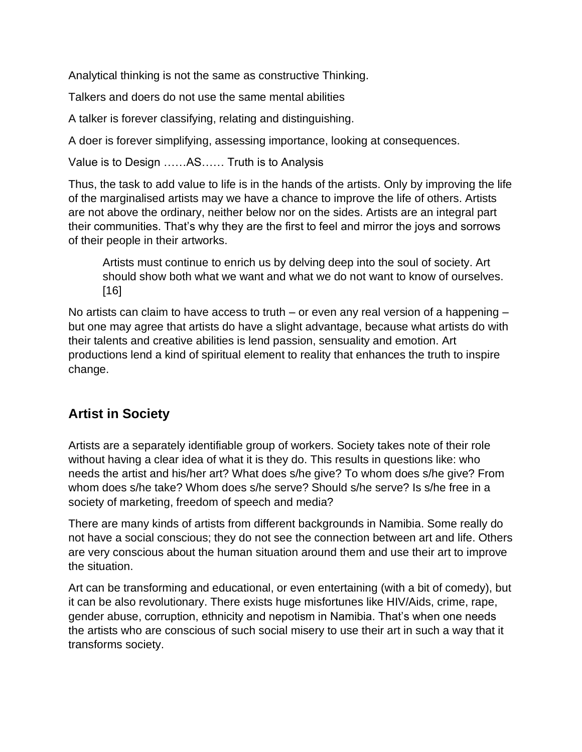Analytical thinking is not the same as constructive Thinking.

Talkers and doers do not use the same mental abilities

A talker is forever classifying, relating and distinguishing.

A doer is forever simplifying, assessing importance, looking at consequences.

Value is to Design ……AS…… Truth is to Analysis

Thus, the task to add value to life is in the hands of the artists. Only by improving the life of the marginalised artists may we have a chance to improve the life of others. Artists are not above the ordinary, neither below nor on the sides. Artists are an integral part their communities. That's why they are the first to feel and mirror the joys and sorrows of their people in their artworks.

Artists must continue to enrich us by delving deep into the soul of society. Art should show both what we want and what we do not want to know of ourselves. [16]

No artists can claim to have access to truth – or even any real version of a happening – but one may agree that artists do have a slight advantage, because what artists do with their talents and creative abilities is lend passion, sensuality and emotion. Art productions lend a kind of spiritual element to reality that enhances the truth to inspire change.

# **Artist in Society**

Artists are a separately identifiable group of workers. Society takes note of their role without having a clear idea of what it is they do. This results in questions like: who needs the artist and his/her art? What does s/he give? To whom does s/he give? From whom does s/he take? Whom does s/he serve? Should s/he serve? Is s/he free in a society of marketing, freedom of speech and media?

There are many kinds of artists from different backgrounds in Namibia. Some really do not have a social conscious; they do not see the connection between art and life. Others are very conscious about the human situation around them and use their art to improve the situation.

Art can be transforming and educational, or even entertaining (with a bit of comedy), but it can be also revolutionary. There exists huge misfortunes like HIV/Aids, crime, rape, gender abuse, corruption, ethnicity and nepotism in Namibia. That's when one needs the artists who are conscious of such social misery to use their art in such a way that it transforms society.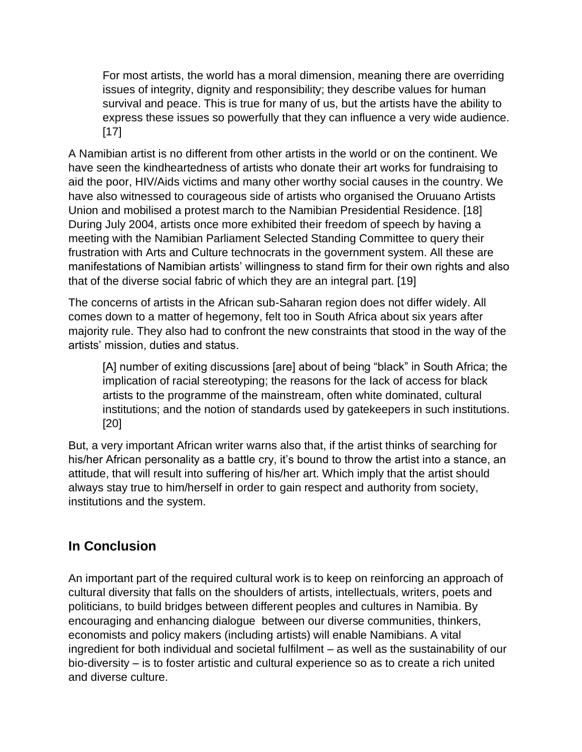For most artists, the world has a moral dimension, meaning there are overriding issues of integrity, dignity and responsibility; they describe values for human survival and peace. This is true for many of us, but the artists have the ability to express these issues so powerfully that they can influence a very wide audience. [17]

A Namibian artist is no different from other artists in the world or on the continent. We have seen the kindheartedness of artists who donate their art works for fundraising to aid the poor, HIV/Aids victims and many other worthy social causes in the country. We have also witnessed to courageous side of artists who organised the Oruuano Artists Union and mobilised a protest march to the Namibian Presidential Residence. [18] During July 2004, artists once more exhibited their freedom of speech by having a meeting with the Namibian Parliament Selected Standing Committee to query their frustration with Arts and Culture technocrats in the government system. All these are manifestations of Namibian artists' willingness to stand firm for their own rights and also that of the diverse social fabric of which they are an integral part. [19]

The concerns of artists in the African sub-Saharan region does not differ widely. All comes down to a matter of hegemony, felt too in South Africa about six years after majority rule. They also had to confront the new constraints that stood in the way of the artists' mission, duties and status.

[A] number of exiting discussions [are] about of being "black" in South Africa; the implication of racial stereotyping; the reasons for the lack of access for black artists to the programme of the mainstream, often white dominated, cultural institutions; and the notion of standards used by gatekeepers in such institutions. [20]

But, a very important African writer warns also that, if the artist thinks of searching for his/her African personality as a battle cry, it's bound to throw the artist into a stance, an attitude, that will result into suffering of his/her art. Which imply that the artist should always stay true to him/herself in order to gain respect and authority from society, institutions and the system.

# **In Conclusion**

An important part of the required cultural work is to keep on reinforcing an approach of cultural diversity that falls on the shoulders of artists, intellectuals, writers, poets and politicians, to build bridges between different peoples and cultures in Namibia. By encouraging and enhancing dialogue between our diverse communities, thinkers, economists and policy makers (including artists) will enable Namibians. A vital ingredient for both individual and societal fulfilment – as well as the sustainability of our bio-diversity – is to foster artistic and cultural experience so as to create a rich united and diverse culture.